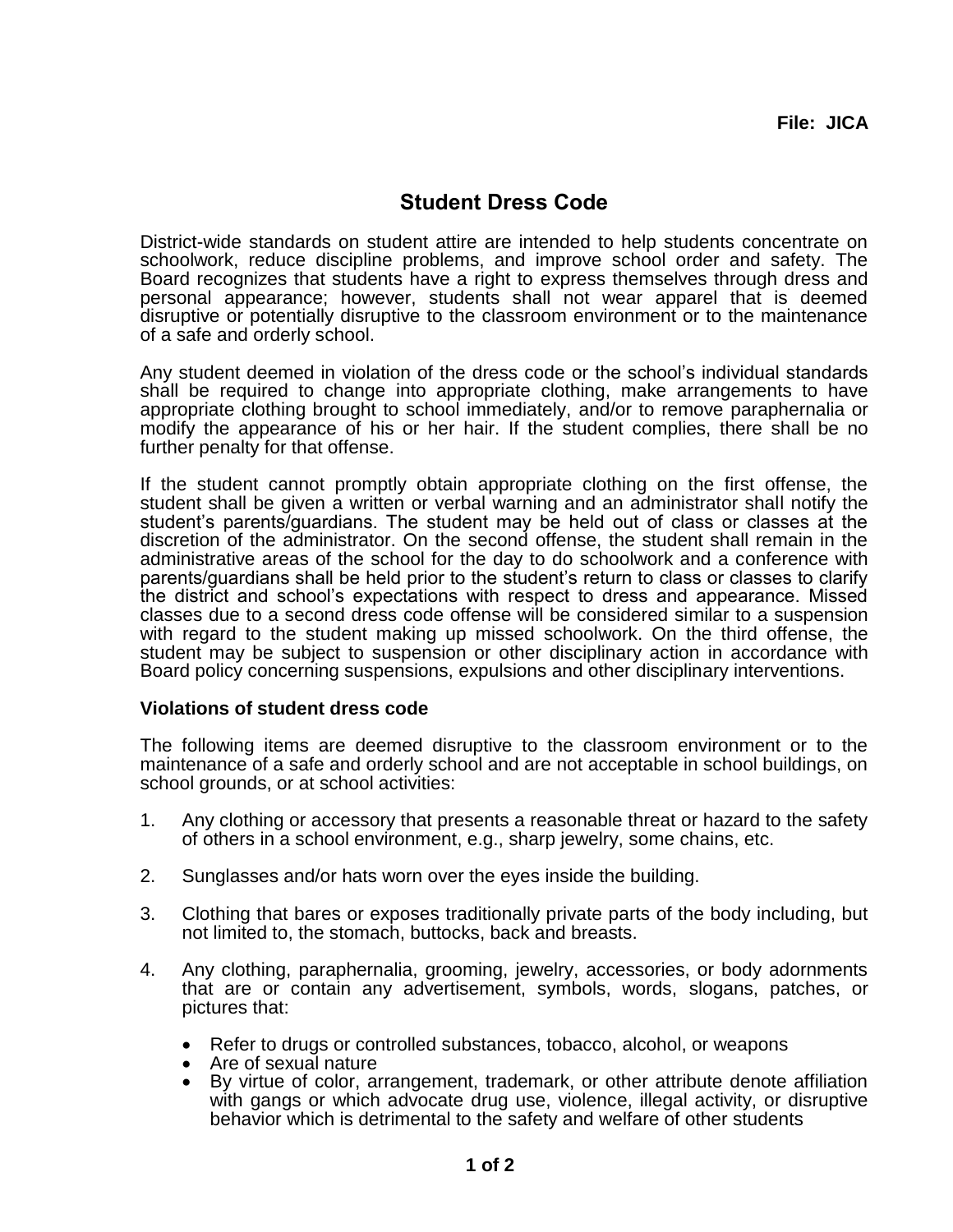## **Student Dress Code**

District-wide standards on student attire are intended to help students concentrate on schoolwork, reduce discipline problems, and improve school order and safety. The Board recognizes that students have a right to express themselves through dress and personal appearance; however, students shall not wear apparel that is deemed disruptive or potentially disruptive to the classroom environment or to the maintenance of a safe and orderly school.

Any student deemed in violation of the dress code or the school's individual standards shall be required to change into appropriate clothing, make arrangements to have appropriate clothing brought to school immediately, and/or to remove paraphernalia or modify the appearance of his or her hair. If the student complies, there shall be no further penalty for that offense.

If the student cannot promptly obtain appropriate clothing on the first offense, the student shall be given a written or verbal warning and an administrator shall notify the student's parents/guardians. The student may be held out of class or classes at the discretion of the administrator. On the second offense, the student shall remain in the administrative areas of the school for the day to do schoolwork and a conference with parents/guardians shall be held prior to the student's return to class or classes to clarify the district and school's expectations with respect to dress and appearance. Missed classes due to a second dress code offense will be considered similar to a suspension with regard to the student making up missed schoolwork. On the third offense, the student may be subject to suspension or other disciplinary action in accordance with Board policy concerning suspensions, expulsions and other disciplinary interventions.

## **Violations of student dress code**

The following items are deemed disruptive to the classroom environment or to the maintenance of a safe and orderly school and are not acceptable in school buildings, on school grounds, or at school activities:

- 1. Any clothing or accessory that presents a reasonable threat or hazard to the safety of others in a school environment, e.g., sharp jewelry, some chains, etc.
- 2. Sunglasses and/or hats worn over the eyes inside the building.
- 3. Clothing that bares or exposes traditionally private parts of the body including, but not limited to, the stomach, buttocks, back and breasts.
- 4. Any clothing, paraphernalia, grooming, jewelry, accessories, or body adornments that are or contain any advertisement, symbols, words, slogans, patches, or pictures that:
	- Refer to drugs or controlled substances, tobacco, alcohol, or weapons
	- Are of sexual nature
	- By virtue of color, arrangement, trademark, or other attribute denote affiliation with gangs or which advocate drug use, violence, illegal activity, or disruptive behavior which is detrimental to the safety and welfare of other students